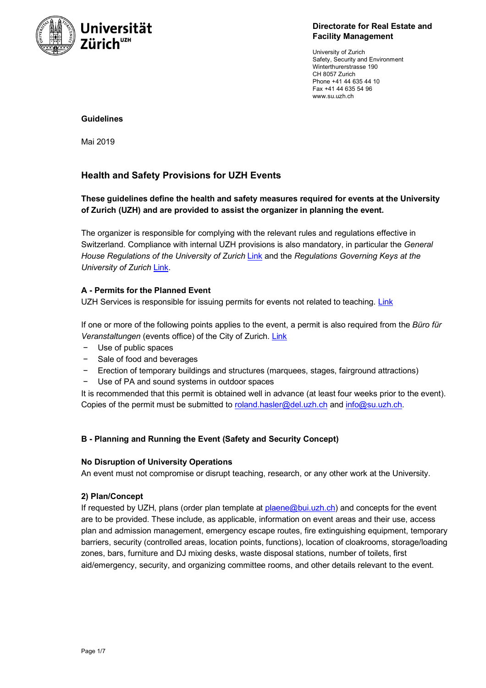

#### **Directorate for Real Estate and Facility Management**

University of Zurich Safety, Security and Environment Winterthurerstrasse 190 CH 8057 Zurich Phone +41 44 635 44 10 Fax +41 44 635 54 96 www.su.uzh.ch

### **Guidelines**

Mai 2019

# **Health and Safety Provisions for UZH Events**

# **These guidelines define the health and safety measures required for events at the University of Zurich (UZH) and are provided to assist the organizer in planning the event.**

The organizer is responsible for complying with the relevant rules and regulations effective in Switzerland. Compliance with internal UZH provisions is also mandatory, in particular the *General House Regulations of the University of Zurich* Link and the *Regulations Governing Keys at the University of Zurich* Link.

## **A - Permits for the Planned Event**

UZH Services is responsible for issuing permits for events not related to teaching. Link

If one or more of the following points applies to the event, a permit is also required from the *Büro für Veranstaltungen* (events office) of the City of Zurich. Link

- Use of public spaces
- − Sale of food and beverages
- Erection of temporary buildings and structures (marquees, stages, fairground attractions)
- − Use of PA and sound systems in outdoor spaces

It is recommended that this permit is obtained well in advance (at least four weeks prior to the event). Copies of the permit must be submitted to roland.hasler@del.uzh.ch and info@su.uzh.ch.

# **B - Planning and Running the Event (Safety and Security Concept)**

#### **No Disruption of University Operations**

An event must not compromise or disrupt teaching, research, or any other work at the University.

#### **2) Plan/Concept**

If requested by UZH, plans (order plan template at plaene@bui.uzh.ch) and concepts for the event are to be provided. These include, as applicable, information on event areas and their use, access plan and admission management, emergency escape routes, fire extinguishing equipment, temporary barriers, security (controlled areas, location points, functions), location of cloakrooms, storage/loading zones, bars, furniture and DJ mixing desks, waste disposal stations, number of toilets, first aid/emergency, security, and organizing committee rooms, and other details relevant to the event.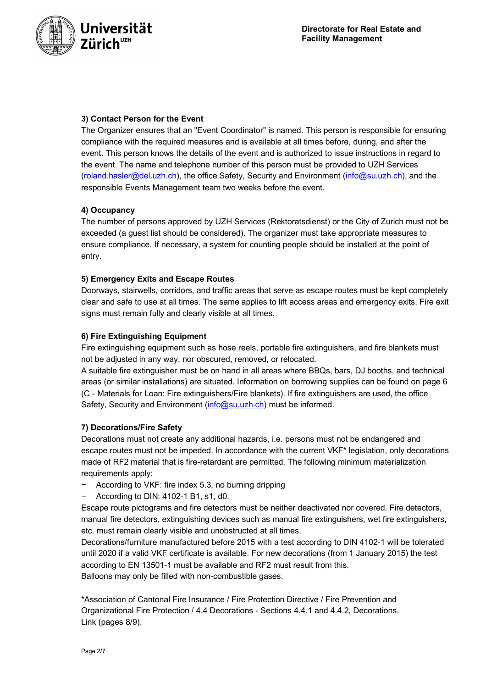

## **3) Contact Person for the Event**

The Organizer ensures that an "Event Coordinator" is named. This person is responsible for ensuring compliance with the required measures and is available at all times before, during, and after the event. This person knows the details of the event and is authorized to issue instructions in regard to the event. The name and telephone number of this person must be provided to UZH Services (roland.hasler@del.uzh.ch), the office Safety, Security and Environment (info@su.uzh.ch), and the responsible Events Management team two weeks before the event.

## **4) Occupancy**

The number of persons approved by UZH Services (Rektoratsdienst) or the City of Zurich must not be exceeded (a guest list should be considered). The organizer must take appropriate measures to ensure compliance. If necessary, a system for counting people should be installed at the point of entry.

## **5) Emergency Exits and Escape Routes**

Doorways, stairwells, corridors, and traffic areas that serve as escape routes must be kept completely clear and safe to use at all times. The same applies to lift access areas and emergency exits. Fire exit signs must remain fully and clearly visible at all times.

## **6) Fire Extinguishing Equipment**

Fire extinguishing equipment such as hose reels, portable fire extinguishers, and fire blankets must not be adjusted in any way, nor obscured, removed, or relocated.

A suitable fire extinguisher must be on hand in all areas where BBQs, bars, DJ booths, and technical areas (or similar installations) are situated. Information on borrowing supplies can be found on page 6 (C - Materials for Loan: Fire extinguishers/Fire blankets). If fire extinguishers are used, the office Safety, Security and Environment (info@su.uzh.ch) must be informed.

#### **7) Decorations/Fire Safety**

Decorations must not create any additional hazards, i.e. persons must not be endangered and escape routes must not be impeded. In accordance with the current VKF\* legislation, only decorations made of RF2 material that is fire-retardant are permitted. The following minimum materialization requirements apply:

- − According to VKF: fire index 5.3, no burning dripping
- − According to DIN: 4102-1 B1, s1, d0.

Escape route pictograms and fire detectors must be neither deactivated nor covered. Fire detectors, manual fire detectors, extinguishing devices such as manual fire extinguishers, wet fire extinguishers, etc. must remain clearly visible and unobstructed at all times.

Decorations/furniture manufactured before 2015 with a test according to DIN 4102-1 will be tolerated until 2020 if a valid VKF certificate is available. For new decorations (from 1 January 2015) the test according to EN 13501-1 must be available and RF2 must result from this. Balloons may only be filled with non-combustible gases.

\*Association of Cantonal Fire Insurance / Fire Protection Directive / Fire Prevention and Organizational Fire Protection / 4.4 Decorations - Sections 4.4.1 and 4.4.2, Decorations. Link (pages 8/9).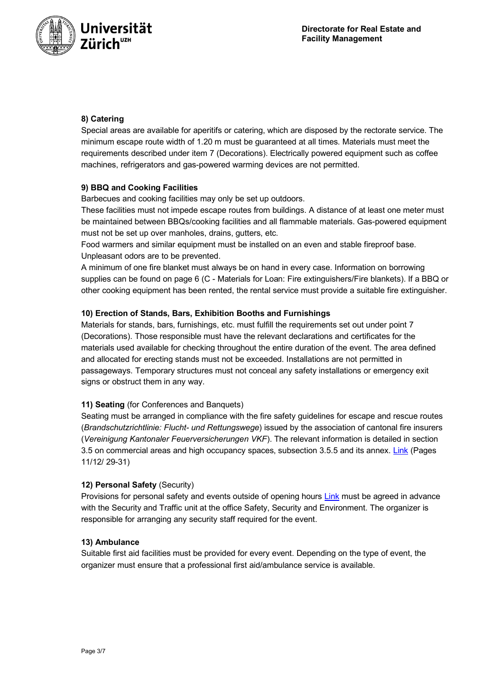

# **8) Catering**

Special areas are available for aperitifs or catering, which are disposed by the rectorate service. The minimum escape route width of 1.20 m must be guaranteed at all times. Materials must meet the requirements described under item 7 (Decorations). Electrically powered equipment such as coffee machines, refrigerators and gas-powered warming devices are not permitted.

# **9) BBQ and Cooking Facilities**

Barbecues and cooking facilities may only be set up outdoors.

These facilities must not impede escape routes from buildings. A distance of at least one meter must be maintained between BBQs/cooking facilities and all flammable materials. Gas-powered equipment must not be set up over manholes, drains, gutters, etc.

Food warmers and similar equipment must be installed on an even and stable fireproof base. Unpleasant odors are to be prevented.

A minimum of one fire blanket must always be on hand in every case. Information on borrowing supplies can be found on page 6 (C - Materials for Loan: Fire extinguishers/Fire blankets). If a BBQ or other cooking equipment has been rented, the rental service must provide a suitable fire extinguisher.

# **10) Erection of Stands, Bars, Exhibition Booths and Furnishings**

Materials for stands, bars, furnishings, etc. must fulfill the requirements set out under point 7 (Decorations). Those responsible must have the relevant declarations and certificates for the materials used available for checking throughout the entire duration of the event. The area defined and allocated for erecting stands must not be exceeded. Installations are not permitted in passageways. Temporary structures must not conceal any safety installations or emergency exit signs or obstruct them in any way.

# **11) Seating** (for Conferences and Banquets)

Seating must be arranged in compliance with the fire safety guidelines for escape and rescue routes (*Brandschutzrichtlinie: Flucht- und Rettungswege*) issued by the association of cantonal fire insurers (*Vereinigung Kantonaler Feuerversicherungen VKF*). The relevant information is detailed in section 3.5 on commercial areas and high occupancy spaces, subsection 3.5.5 and its annex. Link (Pages 11/12/ 29-31)

# **12) Personal Safety** (Security)

Provisions for personal safety and events outside of opening hours Link must be agreed in advance with the Security and Traffic unit at the office Safety, Security and Environment. The organizer is responsible for arranging any security staff required for the event.

#### **13) Ambulance**

Suitable first aid facilities must be provided for every event. Depending on the type of event, the organizer must ensure that a professional first aid/ambulance service is available.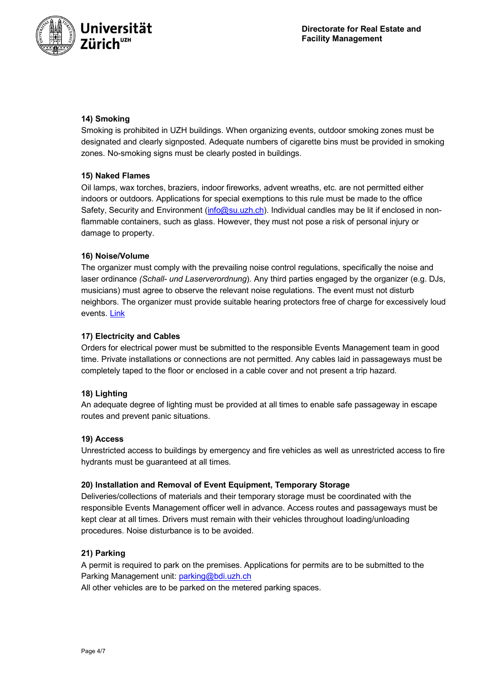

# **14) Smoking**

Smoking is prohibited in UZH buildings. When organizing events, outdoor smoking zones must be designated and clearly signposted. Adequate numbers of cigarette bins must be provided in smoking zones. No-smoking signs must be clearly posted in buildings.

## **15) Naked Flames**

Oil lamps, wax torches, braziers, indoor fireworks, advent wreaths, etc. are not permitted either indoors or outdoors. Applications for special exemptions to this rule must be made to the office Safety, Security and Environment (info@su.uzh.ch). Individual candles may be lit if enclosed in nonflammable containers, such as glass. However, they must not pose a risk of personal injury or damage to property.

## **16) Noise/Volume**

The organizer must comply with the prevailing noise control regulations, specifically the noise and laser ordinance *(Schall- und Laserverordnung*). Any third parties engaged by the organizer (e.g. DJs, musicians) must agree to observe the relevant noise regulations. The event must not disturb neighbors. The organizer must provide suitable hearing protectors free of charge for excessively loud events. Link

## **17) Electricity and Cables**

Orders for electrical power must be submitted to the responsible Events Management team in good time. Private installations or connections are not permitted. Any cables laid in passageways must be completely taped to the floor or enclosed in a cable cover and not present a trip hazard.

#### **18) Lighting**

An adequate degree of lighting must be provided at all times to enable safe passageway in escape routes and prevent panic situations.

#### **19) Access**

Unrestricted access to buildings by emergency and fire vehicles as well as unrestricted access to fire hydrants must be guaranteed at all times.

#### **20) Installation and Removal of Event Equipment, Temporary Storage**

Deliveries/collections of materials and their temporary storage must be coordinated with the responsible Events Management officer well in advance. Access routes and passageways must be kept clear at all times. Drivers must remain with their vehicles throughout loading/unloading procedures. Noise disturbance is to be avoided.

# **21) Parking**

A permit is required to park on the premises. Applications for permits are to be submitted to the Parking Management unit: parking@bdi.uzh.ch

All other vehicles are to be parked on the metered parking spaces.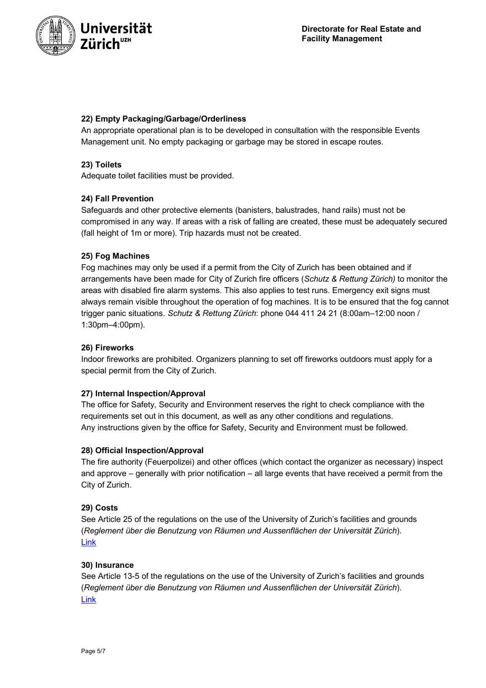

## **22) Empty Packaging/Garbage/Orderliness**

An appropriate operational plan is to be developed in consultation with the responsible Events Management unit. No empty packaging or garbage may be stored in escape routes.

### **23) Toilets**

Adequate toilet facilities must be provided.

## **24) Fall Prevention**

Safeguards and other protective elements (banisters, balustrades, hand rails) must not be compromised in any way. If areas with a risk of falling are created, these must be adequately secured (fall height of 1m or more). Trip hazards must not be created.

#### **25) Fog Machines**

Fog machines may only be used if a permit from the City of Zurich has been obtained and if arrangements have been made for City of Zurich fire officers (*Schutz & Rettung Zürich)* to monitor the areas with disabled fire alarm systems. This also applies to test runs. Emergency exit signs must always remain visible throughout the operation of fog machines. It is to be ensured that the fog cannot trigger panic situations. *Schutz & Rettung Zürich*: phone 044 411 24 21 (8:00am–12:00 noon / 1:30pm–4:00pm).

#### **26) Fireworks**

Indoor fireworks are prohibited. Organizers planning to set off fireworks outdoors must apply for a special permit from the City of Zurich.

#### **27) Internal Inspection/Approval**

The office for Safety, Security and Environment reserves the right to check compliance with the requirements set out in this document, as well as any other conditions and regulations. Any instructions given by the office for Safety, Security and Environment must be followed.

#### **28) Official Inspection/Approval**

The fire authority (Feuerpolizei) and other offices (which contact the organizer as necessary) inspect and approve – generally with prior notification – all large events that have received a permit from the City of Zurich.

#### **29) Costs**

See Article 25 of the regulations on the use of the University of Zurich's facilities and grounds (*Reglement über die Benutzung von Räumen und Aussenflächen der Universität Zürich*). Link

#### **30) Insurance**

See Article 13-5 of the regulations on the use of the University of Zurich's facilities and grounds (*Reglement über die Benutzung von Räumen und Aussenflächen der Universität Zürich*). Link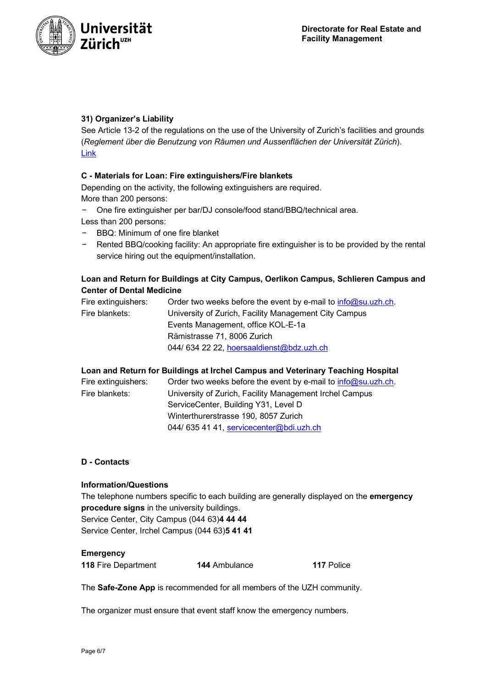



# **31) Organizer's Liability**

See Article 13-2 of the regulations on the use of the University of Zurich's facilities and grounds (*Reglement über die Benutzung von Räumen und Aussenflächen der Universität Zürich*). Link

## **C - Materials for Loan: Fire extinguishers/Fire blankets**

Depending on the activity, the following extinguishers are required. More than 200 persons:

- − One fire extinguisher per bar/DJ console/food stand/BBQ/technical area. Less than 200 persons:
- − BBQ: Minimum of one fire blanket
- − Rented BBQ/cooking facility: An appropriate fire extinguisher is to be provided by the rental service hiring out the equipment/installation.

# **Loan and Return for Buildings at City Campus, Oerlikon Campus, Schlieren Campus and Center of Dental Medicine**

| Fire extinguishers: | Order two weeks before the event by e-mail to $info@su.uzh.ch$ . |
|---------------------|------------------------------------------------------------------|
| Fire blankets:      | University of Zurich, Facility Management City Campus            |
|                     | Events Management, office KOL-E-1a                               |
|                     | Rämistrasse 71, 8006 Zurich                                      |
|                     | 044/634 22 22, hoersaaldienst@bdz.uzh.ch                         |

#### **Loan and Return for Buildings at Irchel Campus and Veterinary Teaching Hospital**

| Fire extinguishers: | Order two weeks before the event by e-mail to $info@su.uzh.ch$ . |
|---------------------|------------------------------------------------------------------|
| Fire blankets:      | University of Zurich, Facility Management Irchel Campus          |
|                     | ServiceCenter, Building Y31, Level D                             |
|                     | Winterthurerstrasse 190, 8057 Zurich                             |
|                     | 044/635 41 41, servicecenter@bdi.uzh.ch                          |
|                     |                                                                  |

#### **D - Contacts**

#### **Information/Questions**

The telephone numbers specific to each building are generally displayed on the **emergency procedure signs** in the university buildings.

**117** Police

Service Center, City Campus (044 63)**4 44 44** Service Center, Irchel Campus (044 63)**5 41 41**

#### **Emergency**

The **Safe-Zone App** is recommended for all members of the UZH community.

The organizer must ensure that event staff know the emergency numbers.